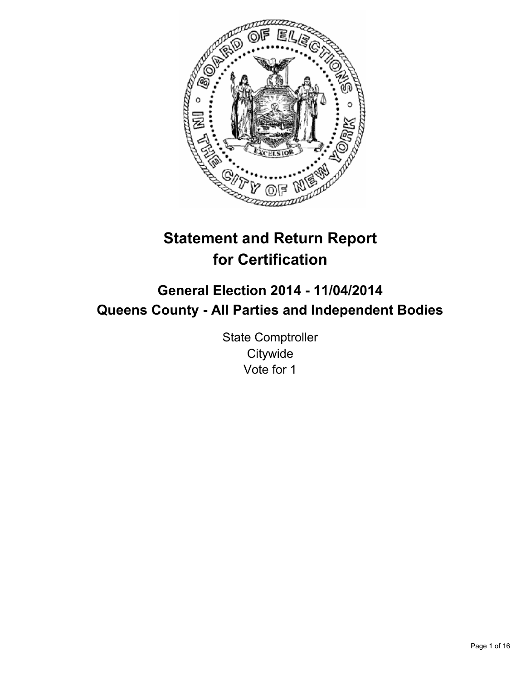

# **Statement and Return Report for Certification**

## **General Election 2014 - 11/04/2014 Queens County - All Parties and Independent Bodies**

State Comptroller **Citywide** Vote for 1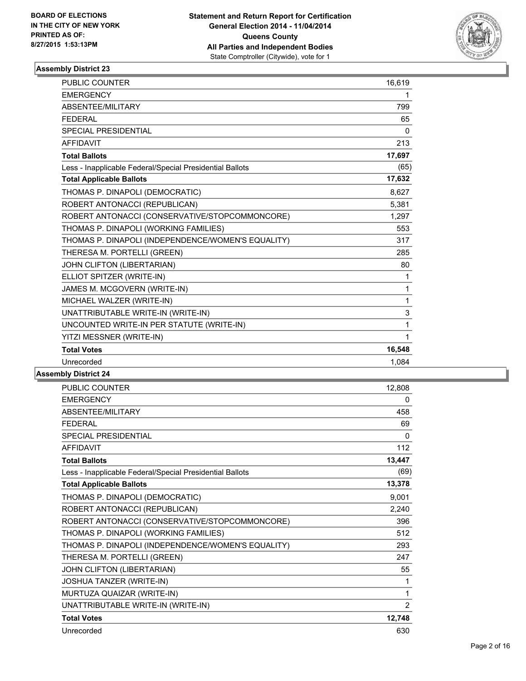

| <b>PUBLIC COUNTER</b>                                    | 16,619       |
|----------------------------------------------------------|--------------|
| <b>EMERGENCY</b>                                         | 1            |
| ABSENTEE/MILITARY                                        | 799          |
| <b>FEDERAL</b>                                           | 65           |
| <b>SPECIAL PRESIDENTIAL</b>                              | $\Omega$     |
| <b>AFFIDAVIT</b>                                         | 213          |
| <b>Total Ballots</b>                                     | 17,697       |
| Less - Inapplicable Federal/Special Presidential Ballots | (65)         |
| <b>Total Applicable Ballots</b>                          | 17,632       |
| THOMAS P. DINAPOLI (DEMOCRATIC)                          | 8,627        |
| ROBERT ANTONACCI (REPUBLICAN)                            | 5,381        |
| ROBERT ANTONACCI (CONSERVATIVE/STOPCOMMONCORE)           | 1,297        |
| THOMAS P. DINAPOLI (WORKING FAMILIES)                    | 553          |
| THOMAS P. DINAPOLI (INDEPENDENCE/WOMEN'S EQUALITY)       | 317          |
| THERESA M. PORTELLI (GREEN)                              | 285          |
| JOHN CLIFTON (LIBERTARIAN)                               | 80           |
| ELLIOT SPITZER (WRITE-IN)                                | 1            |
| JAMES M. MCGOVERN (WRITE-IN)                             | 1            |
| MICHAEL WALZER (WRITE-IN)                                | $\mathbf{1}$ |
| UNATTRIBUTABLE WRITE-IN (WRITE-IN)                       | 3            |
| UNCOUNTED WRITE-IN PER STATUTE (WRITE-IN)                | 1            |
| YITZI MESSNER (WRITE-IN)                                 | 1            |
| <b>Total Votes</b>                                       | 16,548       |
| Unrecorded                                               | 1,084        |

| PUBLIC COUNTER                                           | 12,808         |
|----------------------------------------------------------|----------------|
| <b>EMERGENCY</b>                                         | 0              |
| ABSENTEE/MILITARY                                        | 458            |
| <b>FFDFRAL</b>                                           | 69             |
| <b>SPECIAL PRESIDENTIAL</b>                              | 0              |
| <b>AFFIDAVIT</b>                                         | 112            |
| <b>Total Ballots</b>                                     | 13,447         |
| Less - Inapplicable Federal/Special Presidential Ballots | (69)           |
| <b>Total Applicable Ballots</b>                          | 13,378         |
| THOMAS P. DINAPOLI (DEMOCRATIC)                          | 9,001          |
| ROBERT ANTONACCI (REPUBLICAN)                            | 2,240          |
| ROBERT ANTONACCI (CONSERVATIVE/STOPCOMMONCORE)           | 396            |
| THOMAS P. DINAPOLI (WORKING FAMILIES)                    | 512            |
| THOMAS P. DINAPOLI (INDEPENDENCE/WOMEN'S EQUALITY)       | 293            |
| THERESA M. PORTELLI (GREEN)                              | 247            |
| JOHN CLIFTON (LIBERTARIAN)                               | 55             |
| JOSHUA TANZER (WRITE-IN)                                 | 1              |
| MURTUZA QUAIZAR (WRITE-IN)                               | 1              |
| UNATTRIBUTABLE WRITE-IN (WRITE-IN)                       | $\overline{2}$ |
| <b>Total Votes</b>                                       | 12,748         |
| Unrecorded                                               | 630            |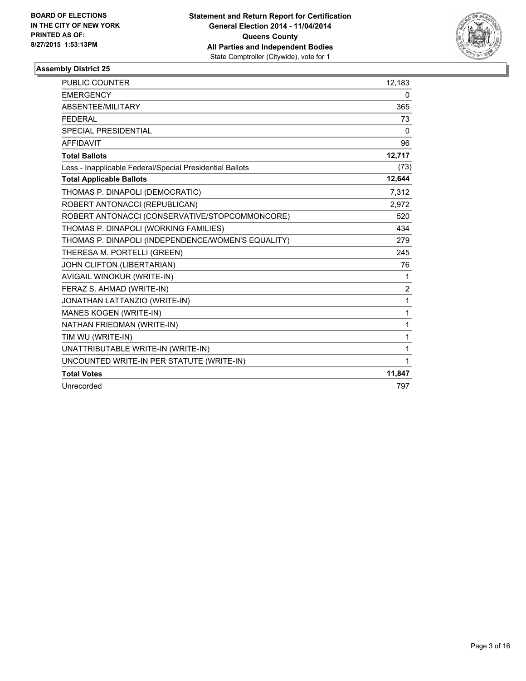

| <b>PUBLIC COUNTER</b>                                    | 12,183         |
|----------------------------------------------------------|----------------|
| <b>EMERGENCY</b>                                         | 0              |
| ABSENTEE/MILITARY                                        | 365            |
| <b>FEDERAL</b>                                           | 73             |
| SPECIAL PRESIDENTIAL                                     | $\mathbf{0}$   |
| <b>AFFIDAVIT</b>                                         | 96             |
| <b>Total Ballots</b>                                     | 12,717         |
| Less - Inapplicable Federal/Special Presidential Ballots | (73)           |
| <b>Total Applicable Ballots</b>                          | 12,644         |
| THOMAS P. DINAPOLI (DEMOCRATIC)                          | 7,312          |
| ROBERT ANTONACCI (REPUBLICAN)                            | 2,972          |
| ROBERT ANTONACCI (CONSERVATIVE/STOPCOMMONCORE)           | 520            |
| THOMAS P. DINAPOLI (WORKING FAMILIES)                    | 434            |
| THOMAS P. DINAPOLI (INDEPENDENCE/WOMEN'S EQUALITY)       | 279            |
| THERESA M. PORTELLI (GREEN)                              | 245            |
| JOHN CLIFTON (LIBERTARIAN)                               | 76             |
| AVIGAIL WINOKUR (WRITE-IN)                               | 1              |
| FERAZ S. AHMAD (WRITE-IN)                                | $\overline{2}$ |
| JONATHAN LATTANZIO (WRITE-IN)                            | 1              |
| MANES KOGEN (WRITE-IN)                                   | 1              |
| NATHAN FRIEDMAN (WRITE-IN)                               | 1              |
| TIM WU (WRITE-IN)                                        | 1              |
| UNATTRIBUTABLE WRITE-IN (WRITE-IN)                       | 1              |
| UNCOUNTED WRITE-IN PER STATUTE (WRITE-IN)                | 1              |
| <b>Total Votes</b>                                       | 11,847         |
| Unrecorded                                               | 797            |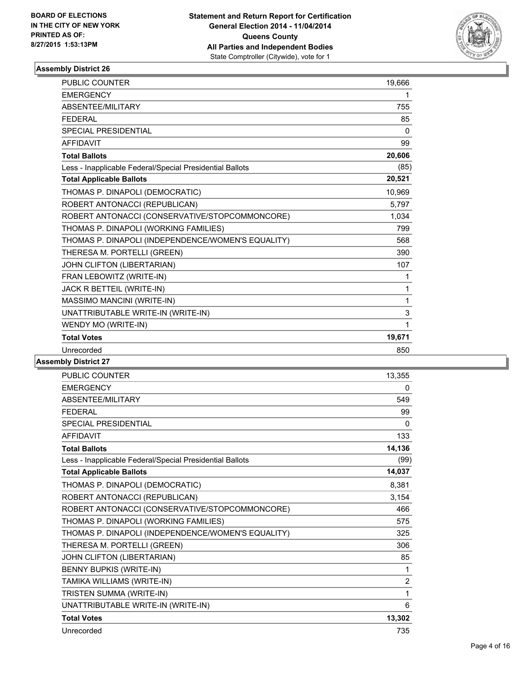

| <b>EMERGENCY</b><br>1<br><b>ABSENTEE/MILITARY</b><br>755<br><b>FEDERAL</b><br>85<br><b>SPECIAL PRESIDENTIAL</b><br>0<br><b>AFFIDAVIT</b><br>99<br>20,606<br><b>Total Ballots</b><br>Less - Inapplicable Federal/Special Presidential Ballots<br>20,521<br><b>Total Applicable Ballots</b><br>THOMAS P. DINAPOLI (DEMOCRATIC)<br>10,969<br>ROBERT ANTONACCI (REPUBLICAN)<br>5,797<br>ROBERT ANTONACCI (CONSERVATIVE/STOPCOMMONCORE)<br>1,034<br>THOMAS P. DINAPOLI (WORKING FAMILIES)<br>799<br>THOMAS P. DINAPOLI (INDEPENDENCE/WOMEN'S EQUALITY)<br>568<br>THERESA M. PORTELLI (GREEN)<br>390<br>JOHN CLIFTON (LIBERTARIAN)<br>107<br>FRAN LEBOWITZ (WRITE-IN)<br>1<br>JACK R BETTEIL (WRITE-IN)<br>1<br>MASSIMO MANCINI (WRITE-IN)<br>1<br>UNATTRIBUTABLE WRITE-IN (WRITE-IN)<br>3<br>WENDY MO (WRITE-IN)<br>1<br>19,671<br><b>Total Votes</b><br>Unrecorded<br>850 | <b>PUBLIC COUNTER</b> | 19,666 |
|-----------------------------------------------------------------------------------------------------------------------------------------------------------------------------------------------------------------------------------------------------------------------------------------------------------------------------------------------------------------------------------------------------------------------------------------------------------------------------------------------------------------------------------------------------------------------------------------------------------------------------------------------------------------------------------------------------------------------------------------------------------------------------------------------------------------------------------------------------------------------|-----------------------|--------|
|                                                                                                                                                                                                                                                                                                                                                                                                                                                                                                                                                                                                                                                                                                                                                                                                                                                                       |                       |        |
|                                                                                                                                                                                                                                                                                                                                                                                                                                                                                                                                                                                                                                                                                                                                                                                                                                                                       |                       |        |
| (85)                                                                                                                                                                                                                                                                                                                                                                                                                                                                                                                                                                                                                                                                                                                                                                                                                                                                  |                       |        |
|                                                                                                                                                                                                                                                                                                                                                                                                                                                                                                                                                                                                                                                                                                                                                                                                                                                                       |                       |        |
|                                                                                                                                                                                                                                                                                                                                                                                                                                                                                                                                                                                                                                                                                                                                                                                                                                                                       |                       |        |
|                                                                                                                                                                                                                                                                                                                                                                                                                                                                                                                                                                                                                                                                                                                                                                                                                                                                       |                       |        |
|                                                                                                                                                                                                                                                                                                                                                                                                                                                                                                                                                                                                                                                                                                                                                                                                                                                                       |                       |        |
|                                                                                                                                                                                                                                                                                                                                                                                                                                                                                                                                                                                                                                                                                                                                                                                                                                                                       |                       |        |
|                                                                                                                                                                                                                                                                                                                                                                                                                                                                                                                                                                                                                                                                                                                                                                                                                                                                       |                       |        |
|                                                                                                                                                                                                                                                                                                                                                                                                                                                                                                                                                                                                                                                                                                                                                                                                                                                                       |                       |        |
|                                                                                                                                                                                                                                                                                                                                                                                                                                                                                                                                                                                                                                                                                                                                                                                                                                                                       |                       |        |
|                                                                                                                                                                                                                                                                                                                                                                                                                                                                                                                                                                                                                                                                                                                                                                                                                                                                       |                       |        |
|                                                                                                                                                                                                                                                                                                                                                                                                                                                                                                                                                                                                                                                                                                                                                                                                                                                                       |                       |        |
|                                                                                                                                                                                                                                                                                                                                                                                                                                                                                                                                                                                                                                                                                                                                                                                                                                                                       |                       |        |
|                                                                                                                                                                                                                                                                                                                                                                                                                                                                                                                                                                                                                                                                                                                                                                                                                                                                       |                       |        |
|                                                                                                                                                                                                                                                                                                                                                                                                                                                                                                                                                                                                                                                                                                                                                                                                                                                                       |                       |        |
|                                                                                                                                                                                                                                                                                                                                                                                                                                                                                                                                                                                                                                                                                                                                                                                                                                                                       |                       |        |
|                                                                                                                                                                                                                                                                                                                                                                                                                                                                                                                                                                                                                                                                                                                                                                                                                                                                       |                       |        |
|                                                                                                                                                                                                                                                                                                                                                                                                                                                                                                                                                                                                                                                                                                                                                                                                                                                                       |                       |        |
|                                                                                                                                                                                                                                                                                                                                                                                                                                                                                                                                                                                                                                                                                                                                                                                                                                                                       |                       |        |
|                                                                                                                                                                                                                                                                                                                                                                                                                                                                                                                                                                                                                                                                                                                                                                                                                                                                       |                       |        |
|                                                                                                                                                                                                                                                                                                                                                                                                                                                                                                                                                                                                                                                                                                                                                                                                                                                                       |                       |        |

| <b>PUBLIC COUNTER</b>                                    | 13,355         |
|----------------------------------------------------------|----------------|
| <b>EMERGENCY</b>                                         | 0              |
| ABSENTEE/MILITARY                                        | 549            |
| <b>FEDERAL</b>                                           | 99             |
| <b>SPECIAL PRESIDENTIAL</b>                              | $\mathbf{0}$   |
| <b>AFFIDAVIT</b>                                         | 133            |
| <b>Total Ballots</b>                                     | 14,136         |
| Less - Inapplicable Federal/Special Presidential Ballots | (99)           |
| <b>Total Applicable Ballots</b>                          | 14,037         |
| THOMAS P. DINAPOLI (DEMOCRATIC)                          | 8,381          |
| ROBERT ANTONACCI (REPUBLICAN)                            | 3,154          |
| ROBERT ANTONACCI (CONSERVATIVE/STOPCOMMONCORE)           | 466            |
| THOMAS P. DINAPOLI (WORKING FAMILIES)                    | 575            |
| THOMAS P. DINAPOLI (INDEPENDENCE/WOMEN'S EQUALITY)       | 325            |
| THERESA M. PORTELLI (GREEN)                              | 306            |
| JOHN CLIFTON (LIBERTARIAN)                               | 85             |
| <b>BENNY BUPKIS (WRITE-IN)</b>                           | 1              |
| TAMIKA WILLIAMS (WRITE-IN)                               | $\overline{2}$ |
| TRISTEN SUMMA (WRITE-IN)                                 | 1              |
| UNATTRIBUTABLE WRITE-IN (WRITE-IN)                       | 6              |
| <b>Total Votes</b>                                       | 13,302         |
| Unrecorded                                               | 735            |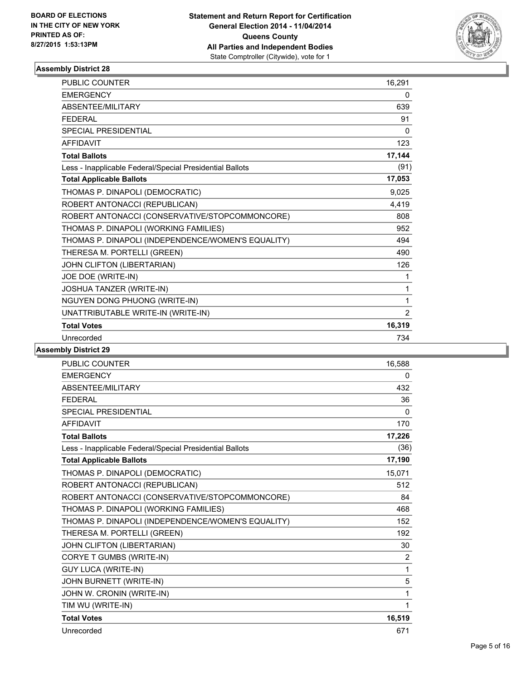

| <b>PUBLIC COUNTER</b>                                    | 16,291       |
|----------------------------------------------------------|--------------|
| <b>EMERGENCY</b>                                         | 0            |
| <b>ABSENTEE/MILITARY</b>                                 | 639          |
| <b>FEDERAL</b>                                           | 91           |
| <b>SPECIAL PRESIDENTIAL</b>                              | $\mathbf{0}$ |
| <b>AFFIDAVIT</b>                                         | 123          |
| <b>Total Ballots</b>                                     | 17,144       |
| Less - Inapplicable Federal/Special Presidential Ballots | (91)         |
| <b>Total Applicable Ballots</b>                          | 17,053       |
| THOMAS P. DINAPOLI (DEMOCRATIC)                          | 9,025        |
| ROBERT ANTONACCI (REPUBLICAN)                            | 4,419        |
| ROBERT ANTONACCI (CONSERVATIVE/STOPCOMMONCORE)           | 808          |
| THOMAS P. DINAPOLI (WORKING FAMILIES)                    | 952          |
| THOMAS P. DINAPOLI (INDEPENDENCE/WOMEN'S EQUALITY)       | 494          |
| THERESA M. PORTELLI (GREEN)                              | 490          |
| JOHN CLIFTON (LIBERTARIAN)                               | 126          |
| JOE DOE (WRITE-IN)                                       | 1            |
| JOSHUA TANZER (WRITE-IN)                                 | 1            |
| NGUYEN DONG PHUONG (WRITE-IN)                            | 1            |
| UNATTRIBUTABLE WRITE-IN (WRITE-IN)                       | 2            |
| <b>Total Votes</b>                                       | 16,319       |
| Unrecorded                                               | 734          |

| <b>PUBLIC COUNTER</b>                                    | 16,588       |
|----------------------------------------------------------|--------------|
| <b>EMERGENCY</b>                                         | 0            |
| ABSENTEE/MILITARY                                        | 432          |
| <b>FEDERAL</b>                                           | 36           |
| <b>SPECIAL PRESIDENTIAL</b>                              | $\mathbf{0}$ |
| <b>AFFIDAVIT</b>                                         | 170          |
| <b>Total Ballots</b>                                     | 17,226       |
| Less - Inapplicable Federal/Special Presidential Ballots | (36)         |
| <b>Total Applicable Ballots</b>                          | 17,190       |
| THOMAS P. DINAPOLI (DEMOCRATIC)                          | 15,071       |
| ROBERT ANTONACCI (REPUBLICAN)                            | 512          |
| ROBERT ANTONACCI (CONSERVATIVE/STOPCOMMONCORE)           | 84           |
| THOMAS P. DINAPOLI (WORKING FAMILIES)                    | 468          |
| THOMAS P. DINAPOLI (INDEPENDENCE/WOMEN'S EQUALITY)       | 152          |
| THERESA M. PORTELLI (GREEN)                              | 192          |
| JOHN CLIFTON (LIBERTARIAN)                               | 30           |
| CORYE T GUMBS (WRITE-IN)                                 | 2            |
| <b>GUY LUCA (WRITE-IN)</b>                               | 1            |
| JOHN BURNETT (WRITE-IN)                                  | 5            |
| JOHN W. CRONIN (WRITE-IN)                                | 1            |
| TIM WU (WRITE-IN)                                        | 1            |
| <b>Total Votes</b>                                       | 16,519       |
| Unrecorded                                               | 671          |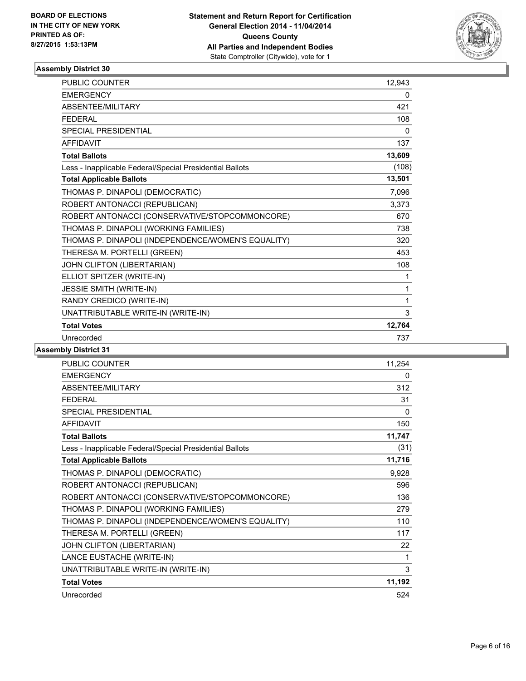

| <b>PUBLIC COUNTER</b>                                    | 12,943 |
|----------------------------------------------------------|--------|
| <b>EMERGENCY</b>                                         | 0      |
| ABSENTEE/MILITARY                                        | 421    |
| <b>FEDERAL</b>                                           | 108    |
| <b>SPECIAL PRESIDENTIAL</b>                              | 0      |
| <b>AFFIDAVIT</b>                                         | 137    |
| <b>Total Ballots</b>                                     | 13,609 |
| Less - Inapplicable Federal/Special Presidential Ballots | (108)  |
| <b>Total Applicable Ballots</b>                          | 13,501 |
| THOMAS P. DINAPOLI (DEMOCRATIC)                          | 7,096  |
| ROBERT ANTONACCI (REPUBLICAN)                            | 3,373  |
| ROBERT ANTONACCI (CONSERVATIVE/STOPCOMMONCORE)           | 670    |
| THOMAS P. DINAPOLI (WORKING FAMILIES)                    | 738    |
| THOMAS P. DINAPOLI (INDEPENDENCE/WOMEN'S EQUALITY)       | 320    |
| THERESA M. PORTELLI (GREEN)                              | 453    |
| JOHN CLIFTON (LIBERTARIAN)                               | 108    |
| ELLIOT SPITZER (WRITE-IN)                                | 1      |
| JESSIE SMITH (WRITE-IN)                                  | 1      |
| RANDY CREDICO (WRITE-IN)                                 | 1      |
| UNATTRIBUTABLE WRITE-IN (WRITE-IN)                       | 3      |
| <b>Total Votes</b>                                       | 12,764 |
| Unrecorded                                               | 737    |

| <b>PUBLIC COUNTER</b>                                    | 11,254       |
|----------------------------------------------------------|--------------|
| <b>EMERGENCY</b>                                         | 0            |
| ABSENTEE/MILITARY                                        | 312          |
| <b>FFDFRAL</b>                                           | 31           |
| <b>SPECIAL PRESIDENTIAL</b>                              | $\mathbf{0}$ |
| <b>AFFIDAVIT</b>                                         | 150          |
| <b>Total Ballots</b>                                     | 11,747       |
| Less - Inapplicable Federal/Special Presidential Ballots | (31)         |
| <b>Total Applicable Ballots</b>                          | 11,716       |
| THOMAS P. DINAPOLI (DEMOCRATIC)                          | 9,928        |
| ROBERT ANTONACCI (REPUBLICAN)                            | 596          |
| ROBERT ANTONACCI (CONSERVATIVE/STOPCOMMONCORE)           | 136          |
| THOMAS P. DINAPOLI (WORKING FAMILIES)                    | 279          |
| THOMAS P. DINAPOLI (INDEPENDENCE/WOMEN'S EQUALITY)       | 110          |
| THERESA M. PORTELLI (GREEN)                              | 117          |
| JOHN CLIFTON (LIBERTARIAN)                               | 22           |
| LANCE EUSTACHE (WRITE-IN)                                | 1            |
| UNATTRIBUTABLE WRITE-IN (WRITE-IN)                       | 3            |
| <b>Total Votes</b>                                       | 11,192       |
| Unrecorded                                               | 524          |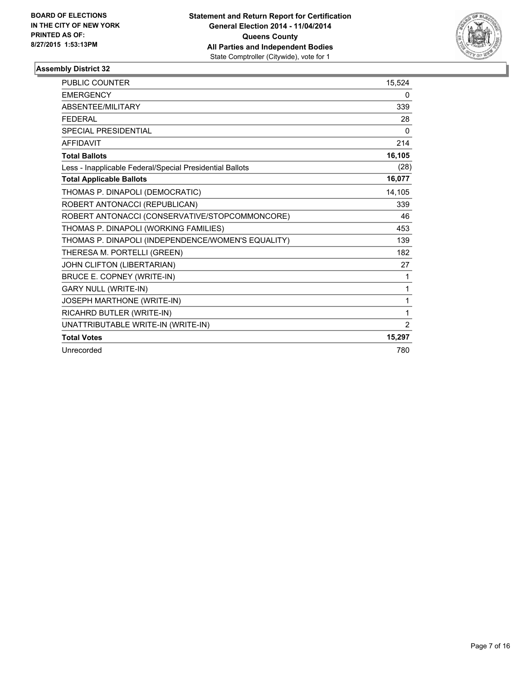

| PUBLIC COUNTER                                           | 15,524         |
|----------------------------------------------------------|----------------|
| <b>EMERGENCY</b>                                         | 0              |
| ABSENTEE/MILITARY                                        | 339            |
| <b>FFDFRAI</b>                                           | 28             |
| SPECIAL PRESIDENTIAL                                     | 0              |
| <b>AFFIDAVIT</b>                                         | 214            |
| <b>Total Ballots</b>                                     | 16,105         |
| Less - Inapplicable Federal/Special Presidential Ballots | (28)           |
| <b>Total Applicable Ballots</b>                          | 16,077         |
| THOMAS P. DINAPOLI (DEMOCRATIC)                          | 14,105         |
| ROBERT ANTONACCI (REPUBLICAN)                            | 339            |
| ROBERT ANTONACCI (CONSERVATIVE/STOPCOMMONCORE)           | 46             |
| THOMAS P. DINAPOLI (WORKING FAMILIES)                    | 453            |
| THOMAS P. DINAPOLI (INDEPENDENCE/WOMEN'S EQUALITY)       | 139            |
| THERESA M. PORTELLI (GREEN)                              | 182            |
| JOHN CLIFTON (LIBERTARIAN)                               | 27             |
| BRUCE E. COPNEY (WRITE-IN)                               | 1              |
| <b>GARY NULL (WRITE-IN)</b>                              | 1              |
| JOSEPH MARTHONE (WRITE-IN)                               | 1              |
| RICAHRD BUTLER (WRITE-IN)                                | 1              |
| UNATTRIBUTABLE WRITE-IN (WRITE-IN)                       | $\overline{2}$ |
| <b>Total Votes</b>                                       | 15,297         |
| Unrecorded                                               | 780            |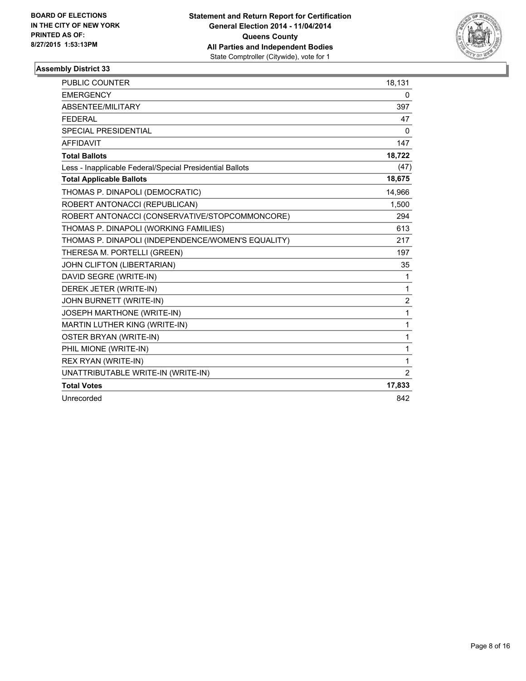

| <b>PUBLIC COUNTER</b>                                    | 18,131         |
|----------------------------------------------------------|----------------|
| <b>EMERGENCY</b>                                         | 0              |
| ABSENTEE/MILITARY                                        | 397            |
| <b>FEDERAL</b>                                           | 47             |
| SPECIAL PRESIDENTIAL                                     | $\Omega$       |
| <b>AFFIDAVIT</b>                                         | 147            |
| <b>Total Ballots</b>                                     | 18,722         |
| Less - Inapplicable Federal/Special Presidential Ballots | (47)           |
| <b>Total Applicable Ballots</b>                          | 18,675         |
| THOMAS P. DINAPOLI (DEMOCRATIC)                          | 14,966         |
| ROBERT ANTONACCI (REPUBLICAN)                            | 1,500          |
| ROBERT ANTONACCI (CONSERVATIVE/STOPCOMMONCORE)           | 294            |
| THOMAS P. DINAPOLI (WORKING FAMILIES)                    | 613            |
| THOMAS P. DINAPOLI (INDEPENDENCE/WOMEN'S EQUALITY)       | 217            |
| THERESA M. PORTELLI (GREEN)                              | 197            |
| JOHN CLIFTON (LIBERTARIAN)                               | 35             |
| DAVID SEGRE (WRITE-IN)                                   | $\mathbf{1}$   |
| DEREK JETER (WRITE-IN)                                   | 1              |
| JOHN BURNETT (WRITE-IN)                                  | $\overline{2}$ |
| JOSEPH MARTHONE (WRITE-IN)                               | $\mathbf 1$    |
| MARTIN LUTHER KING (WRITE-IN)                            | $\mathbf{1}$   |
| <b>OSTER BRYAN (WRITE-IN)</b>                            | 1              |
| PHIL MIONE (WRITE-IN)                                    | 1              |
| <b>REX RYAN (WRITE-IN)</b>                               | 1              |
| UNATTRIBUTABLE WRITE-IN (WRITE-IN)                       | 2              |
| <b>Total Votes</b>                                       | 17,833         |
| Unrecorded                                               | 842            |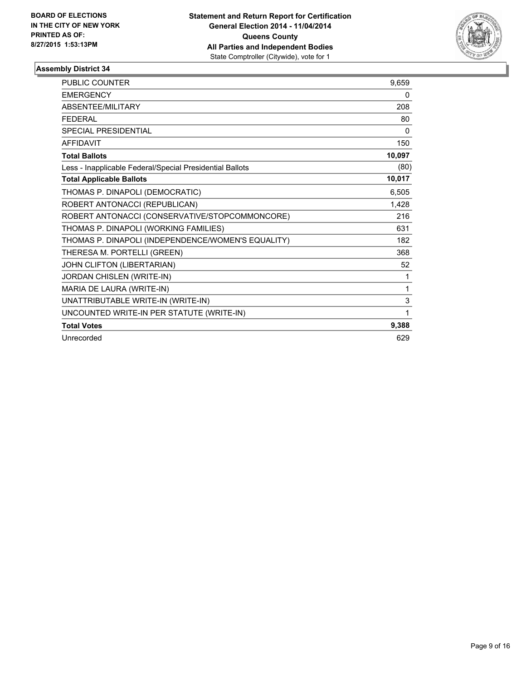

| <b>PUBLIC COUNTER</b>                                    | 9,659        |
|----------------------------------------------------------|--------------|
| <b>EMERGENCY</b>                                         | 0            |
| <b>ABSENTEE/MILITARY</b>                                 | 208          |
| <b>FEDERAL</b>                                           | 80           |
| <b>SPECIAL PRESIDENTIAL</b>                              | $\mathbf{0}$ |
| <b>AFFIDAVIT</b>                                         | 150          |
| <b>Total Ballots</b>                                     | 10,097       |
| Less - Inapplicable Federal/Special Presidential Ballots | (80)         |
| <b>Total Applicable Ballots</b>                          | 10,017       |
| THOMAS P. DINAPOLI (DEMOCRATIC)                          | 6,505        |
| ROBERT ANTONACCI (REPUBLICAN)                            | 1,428        |
| ROBERT ANTONACCI (CONSERVATIVE/STOPCOMMONCORE)           | 216          |
| THOMAS P. DINAPOLI (WORKING FAMILIES)                    | 631          |
| THOMAS P. DINAPOLI (INDEPENDENCE/WOMEN'S EQUALITY)       | 182          |
| THERESA M. PORTELLI (GREEN)                              | 368          |
| JOHN CLIFTON (LIBERTARIAN)                               | 52           |
| JORDAN CHISLEN (WRITE-IN)                                | 1            |
| MARIA DE LAURA (WRITE-IN)                                | 1            |
| UNATTRIBUTABLE WRITE-IN (WRITE-IN)                       | 3            |
| UNCOUNTED WRITE-IN PER STATUTE (WRITE-IN)                | 1            |
| <b>Total Votes</b>                                       | 9,388        |
| Unrecorded                                               | 629          |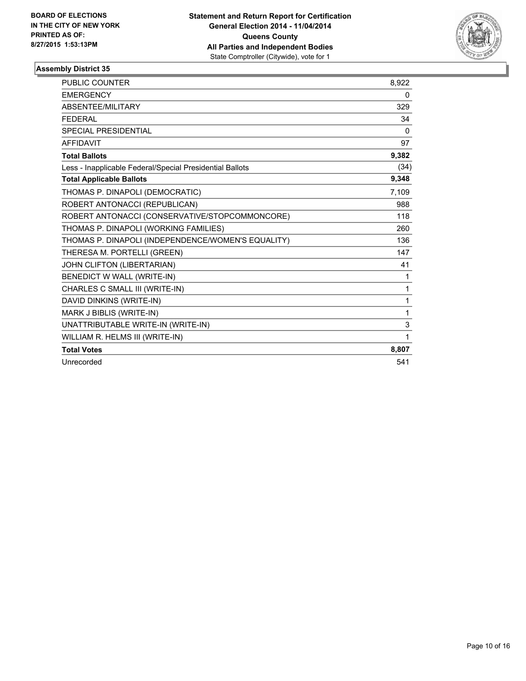

| <b>PUBLIC COUNTER</b>                                    | 8,922        |
|----------------------------------------------------------|--------------|
| <b>EMERGENCY</b>                                         | 0            |
| <b>ABSENTEE/MILITARY</b>                                 | 329          |
| <b>FEDERAL</b>                                           | 34           |
| <b>SPECIAL PRESIDENTIAL</b>                              | $\mathbf{0}$ |
| <b>AFFIDAVIT</b>                                         | 97           |
| <b>Total Ballots</b>                                     | 9,382        |
| Less - Inapplicable Federal/Special Presidential Ballots | (34)         |
| <b>Total Applicable Ballots</b>                          | 9,348        |
| THOMAS P. DINAPOLI (DEMOCRATIC)                          | 7,109        |
| ROBERT ANTONACCI (REPUBLICAN)                            | 988          |
| ROBERT ANTONACCI (CONSERVATIVE/STOPCOMMONCORE)           | 118          |
| THOMAS P. DINAPOLI (WORKING FAMILIES)                    | 260          |
| THOMAS P. DINAPOLI (INDEPENDENCE/WOMEN'S EQUALITY)       | 136          |
| THERESA M. PORTELLI (GREEN)                              | 147          |
| JOHN CLIFTON (LIBERTARIAN)                               | 41           |
| BENEDICT W WALL (WRITE-IN)                               | 1            |
| CHARLES C SMALL III (WRITE-IN)                           | 1            |
| DAVID DINKINS (WRITE-IN)                                 | 1            |
| MARK J BIBLIS (WRITE-IN)                                 | 1            |
| UNATTRIBUTABLE WRITE-IN (WRITE-IN)                       | 3            |
| WILLIAM R. HELMS III (WRITE-IN)                          | 1            |
| <b>Total Votes</b>                                       | 8,807        |
| Unrecorded                                               | 541          |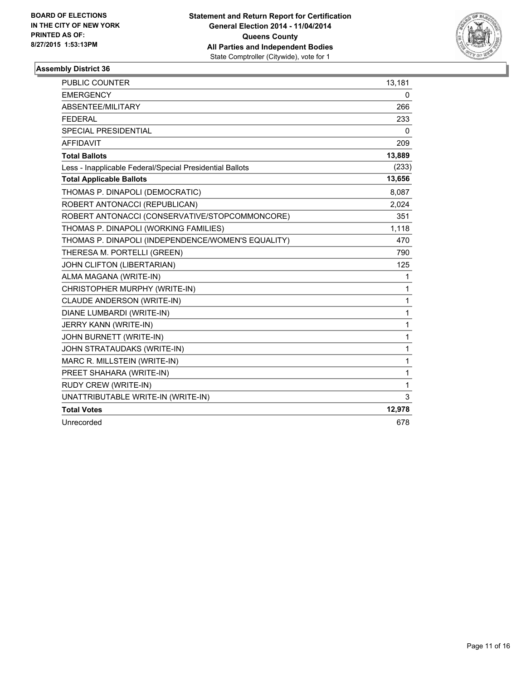

| PUBLIC COUNTER                                           | 13,181       |
|----------------------------------------------------------|--------------|
| <b>EMERGENCY</b>                                         | 0            |
| ABSENTEE/MILITARY                                        | 266          |
| <b>FEDERAL</b>                                           | 233          |
| <b>SPECIAL PRESIDENTIAL</b>                              | 0            |
| <b>AFFIDAVIT</b>                                         | 209          |
| <b>Total Ballots</b>                                     | 13,889       |
| Less - Inapplicable Federal/Special Presidential Ballots | (233)        |
| <b>Total Applicable Ballots</b>                          | 13,656       |
| THOMAS P. DINAPOLI (DEMOCRATIC)                          | 8,087        |
| ROBERT ANTONACCI (REPUBLICAN)                            | 2,024        |
| ROBERT ANTONACCI (CONSERVATIVE/STOPCOMMONCORE)           | 351          |
| THOMAS P. DINAPOLI (WORKING FAMILIES)                    | 1,118        |
| THOMAS P. DINAPOLI (INDEPENDENCE/WOMEN'S EQUALITY)       | 470          |
| THERESA M. PORTELLI (GREEN)                              | 790          |
| JOHN CLIFTON (LIBERTARIAN)                               | 125          |
| ALMA MAGANA (WRITE-IN)                                   | 1            |
| CHRISTOPHER MURPHY (WRITE-IN)                            | 1            |
| CLAUDE ANDERSON (WRITE-IN)                               | $\mathbf{1}$ |
| DIANE LUMBARDI (WRITE-IN)                                | $\mathbf{1}$ |
| JERRY KANN (WRITE-IN)                                    | $\mathbf{1}$ |
| JOHN BURNETT (WRITE-IN)                                  | 1            |
| JOHN STRATAUDAKS (WRITE-IN)                              | 1            |
| MARC R. MILLSTEIN (WRITE-IN)                             | 1            |
| PREET SHAHARA (WRITE-IN)                                 | 1            |
| RUDY CREW (WRITE-IN)                                     | $\mathbf{1}$ |
| UNATTRIBUTABLE WRITE-IN (WRITE-IN)                       | 3            |
| <b>Total Votes</b>                                       | 12,978       |
| Unrecorded                                               | 678          |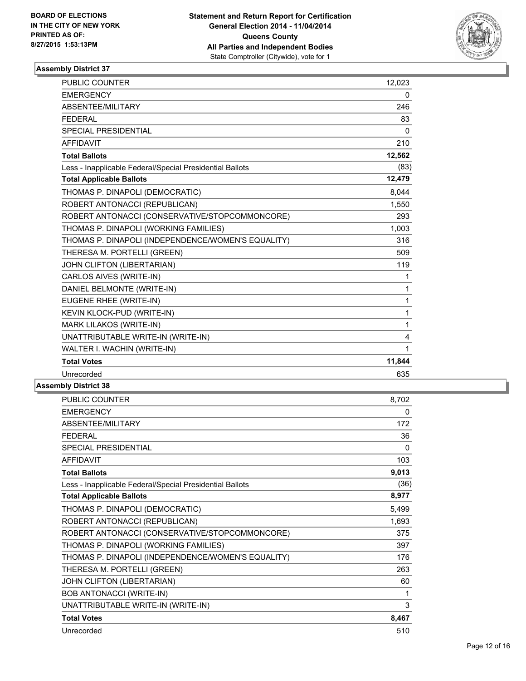

| <b>PUBLIC COUNTER</b>                                    | 12,023       |
|----------------------------------------------------------|--------------|
| <b>EMERGENCY</b>                                         | 0            |
| ABSENTEE/MILITARY                                        | 246          |
| <b>FEDERAL</b>                                           | 83           |
| <b>SPECIAL PRESIDENTIAL</b>                              | $\mathbf{0}$ |
| <b>AFFIDAVIT</b>                                         | 210          |
| <b>Total Ballots</b>                                     | 12,562       |
| Less - Inapplicable Federal/Special Presidential Ballots | (83)         |
| <b>Total Applicable Ballots</b>                          | 12,479       |
| THOMAS P. DINAPOLI (DEMOCRATIC)                          | 8,044        |
| ROBERT ANTONACCI (REPUBLICAN)                            | 1,550        |
| ROBERT ANTONACCI (CONSERVATIVE/STOPCOMMONCORE)           | 293          |
| THOMAS P. DINAPOLI (WORKING FAMILIES)                    | 1,003        |
| THOMAS P. DINAPOLI (INDEPENDENCE/WOMEN'S EQUALITY)       | 316          |
| THERESA M. PORTELLI (GREEN)                              | 509          |
| JOHN CLIFTON (LIBERTARIAN)                               | 119          |
| CARLOS AIVES (WRITE-IN)                                  | 1            |
| DANIEL BELMONTE (WRITE-IN)                               | 1            |
| EUGENE RHEE (WRITE-IN)                                   | 1            |
| KEVIN KLOCK-PUD (WRITE-IN)                               | 1            |
| <b>MARK LILAKOS (WRITE-IN)</b>                           | 1            |
| UNATTRIBUTABLE WRITE-IN (WRITE-IN)                       | 4            |
| WALTER I. WACHIN (WRITE-IN)                              | 1            |
| <b>Total Votes</b>                                       | 11,844       |
| Unrecorded                                               | 635          |
|                                                          |              |

| <b>PUBLIC COUNTER</b>                                    | 8,702 |
|----------------------------------------------------------|-------|
| <b>EMERGENCY</b>                                         | 0     |
| ABSENTEE/MILITARY                                        | 172   |
| <b>FEDERAL</b>                                           | 36    |
| <b>SPECIAL PRESIDENTIAL</b>                              | 0     |
| <b>AFFIDAVIT</b>                                         | 103   |
| <b>Total Ballots</b>                                     | 9,013 |
| Less - Inapplicable Federal/Special Presidential Ballots | (36)  |
| <b>Total Applicable Ballots</b>                          | 8,977 |
| THOMAS P. DINAPOLI (DEMOCRATIC)                          | 5,499 |
| ROBERT ANTONACCI (REPUBLICAN)                            | 1,693 |
| ROBERT ANTONACCI (CONSERVATIVE/STOPCOMMONCORE)           | 375   |
| THOMAS P. DINAPOLI (WORKING FAMILIES)                    | 397   |
| THOMAS P. DINAPOLI (INDEPENDENCE/WOMEN'S EQUALITY)       | 176   |
| THERESA M. PORTELLI (GREEN)                              | 263   |
| JOHN CLIFTON (LIBERTARIAN)                               | 60    |
| <b>BOB ANTONACCI (WRITE-IN)</b>                          | 1     |
| UNATTRIBUTABLE WRITE-IN (WRITE-IN)                       | 3     |
| <b>Total Votes</b>                                       | 8,467 |
| Unrecorded                                               | 510   |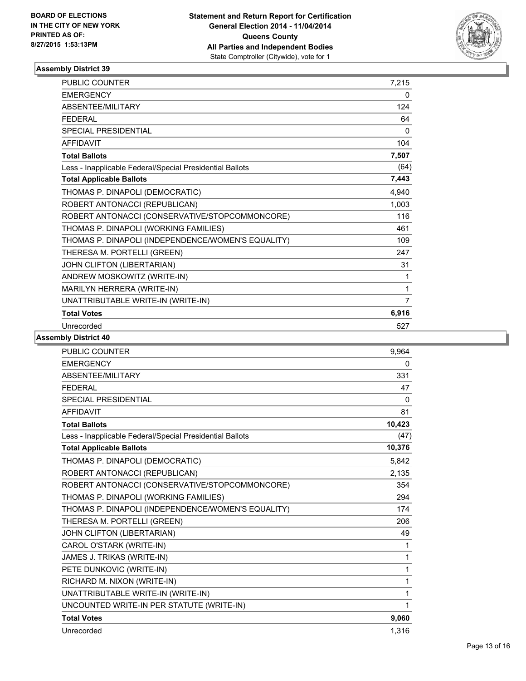

| PUBLIC COUNTER                                           | 7,215 |
|----------------------------------------------------------|-------|
| <b>EMERGENCY</b>                                         | 0     |
| <b>ABSENTEE/MILITARY</b>                                 | 124   |
| <b>FFDFRAL</b>                                           | 64    |
| SPECIAL PRESIDENTIAL                                     | 0     |
| <b>AFFIDAVIT</b>                                         | 104   |
| <b>Total Ballots</b>                                     | 7,507 |
| Less - Inapplicable Federal/Special Presidential Ballots | (64)  |
| <b>Total Applicable Ballots</b>                          | 7,443 |
| THOMAS P. DINAPOLI (DEMOCRATIC)                          | 4,940 |
| ROBERT ANTONACCI (REPUBLICAN)                            | 1,003 |
| ROBERT ANTONACCI (CONSERVATIVE/STOPCOMMONCORE)           | 116   |
| THOMAS P. DINAPOLI (WORKING FAMILIES)                    | 461   |
| THOMAS P. DINAPOLI (INDEPENDENCE/WOMEN'S EQUALITY)       | 109   |
| THERESA M. PORTELLI (GREEN)                              | 247   |
| JOHN CLIFTON (LIBERTARIAN)                               | 31    |
| ANDREW MOSKOWITZ (WRITE-IN)                              | 1     |
| MARILYN HERRERA (WRITE-IN)                               | 1     |
| UNATTRIBUTABLE WRITE-IN (WRITE-IN)                       | 7     |
| <b>Total Votes</b>                                       | 6,916 |
| Unrecorded                                               | 527   |

| <b>PUBLIC COUNTER</b>                                    | 9,964  |
|----------------------------------------------------------|--------|
| <b>EMERGENCY</b>                                         | 0      |
| ABSENTEE/MILITARY                                        | 331    |
| <b>FEDERAL</b>                                           | 47     |
| <b>SPECIAL PRESIDENTIAL</b>                              | 0      |
| <b>AFFIDAVIT</b>                                         | 81     |
| <b>Total Ballots</b>                                     | 10,423 |
| Less - Inapplicable Federal/Special Presidential Ballots | (47)   |
| <b>Total Applicable Ballots</b>                          | 10,376 |
| THOMAS P. DINAPOLI (DEMOCRATIC)                          | 5,842  |
| ROBERT ANTONACCI (REPUBLICAN)                            | 2,135  |
| ROBERT ANTONACCI (CONSERVATIVE/STOPCOMMONCORE)           | 354    |
| THOMAS P. DINAPOLI (WORKING FAMILIES)                    | 294    |
| THOMAS P. DINAPOLI (INDEPENDENCE/WOMEN'S EQUALITY)       | 174    |
| THERESA M. PORTELLI (GREEN)                              | 206    |
| JOHN CLIFTON (LIBERTARIAN)                               | 49     |
| CAROL O'STARK (WRITE-IN)                                 | 1      |
| JAMES J. TRIKAS (WRITE-IN)                               | 1      |
| PETE DUNKOVIC (WRITE-IN)                                 | 1      |
| RICHARD M. NIXON (WRITE-IN)                              | 1      |
| UNATTRIBUTABLE WRITE-IN (WRITE-IN)                       | 1      |
| UNCOUNTED WRITE-IN PER STATUTE (WRITE-IN)                | 1      |
| <b>Total Votes</b>                                       | 9,060  |
| Unrecorded                                               | 1,316  |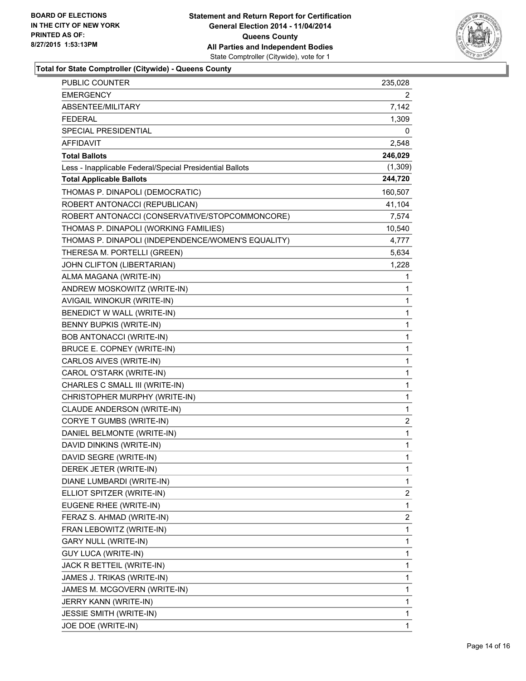

**Total for State Comptroller (Citywide) - Queens County**

| PUBLIC COUNTER                                           | 235,028      |
|----------------------------------------------------------|--------------|
| EMERGENCY                                                | 2            |
| ABSENTEE/MILITARY                                        | 7,142        |
| FEDERAL                                                  | 1,309        |
| SPECIAL PRESIDENTIAL                                     | 0            |
| AFFIDAVIT                                                | 2,548        |
| <b>Total Ballots</b>                                     | 246,029      |
| Less - Inapplicable Federal/Special Presidential Ballots | (1, 309)     |
| <b>Total Applicable Ballots</b>                          | 244,720      |
| THOMAS P. DINAPOLI (DEMOCRATIC)                          | 160,507      |
| ROBERT ANTONACCI (REPUBLICAN)                            | 41,104       |
| ROBERT ANTONACCI (CONSERVATIVE/STOPCOMMONCORE)           | 7,574        |
| THOMAS P. DINAPOLI (WORKING FAMILIES)                    | 10,540       |
| THOMAS P. DINAPOLI (INDEPENDENCE/WOMEN'S EQUALITY)       | 4,777        |
| THERESA M. PORTELLI (GREEN)                              | 5,634        |
| JOHN CLIFTON (LIBERTARIAN)                               | 1,228        |
| ALMA MAGANA (WRITE-IN)                                   | 1            |
| ANDREW MOSKOWITZ (WRITE-IN)                              | 1            |
| AVIGAIL WINOKUR (WRITE-IN)                               | 1            |
| BENEDICT W WALL (WRITE-IN)                               | 1            |
| BENNY BUPKIS (WRITE-IN)                                  | 1            |
| <b>BOB ANTONACCI (WRITE-IN)</b>                          | 1            |
| BRUCE E. COPNEY (WRITE-IN)                               | 1            |
| CARLOS AIVES (WRITE-IN)                                  | 1            |
| CAROL O'STARK (WRITE-IN)                                 | 1            |
| CHARLES C SMALL III (WRITE-IN)                           | 1            |
| CHRISTOPHER MURPHY (WRITE-IN)                            | 1            |
| CLAUDE ANDERSON (WRITE-IN)                               | 1            |
| CORYE T GUMBS (WRITE-IN)                                 | 2            |
| DANIEL BELMONTE (WRITE-IN)                               | 1            |
| DAVID DINKINS (WRITE-IN)                                 | 1            |
| DAVID SEGRE (WRITE-IN)                                   | $\mathbf{1}$ |
| DEREK JETER (WRITE-IN)                                   | 1            |
| DIANE LUMBARDI (WRITE-IN)                                | 1            |
| ELLIOT SPITZER (WRITE-IN)                                | 2            |
| EUGENE RHEE (WRITE-IN)                                   | 1            |
| FERAZ S. AHMAD (WRITE-IN)                                | 2            |
| FRAN LEBOWITZ (WRITE-IN)                                 | 1            |
| <b>GARY NULL (WRITE-IN)</b>                              | 1            |
| <b>GUY LUCA (WRITE-IN)</b>                               | 1            |
| JACK R BETTEIL (WRITE-IN)                                | 1            |
| JAMES J. TRIKAS (WRITE-IN)                               | 1            |
| JAMES M. MCGOVERN (WRITE-IN)                             | 1            |
| JERRY KANN (WRITE-IN)                                    | 1            |
| <b>JESSIE SMITH (WRITE-IN)</b>                           | 1            |
| JOE DOE (WRITE-IN)                                       | 1            |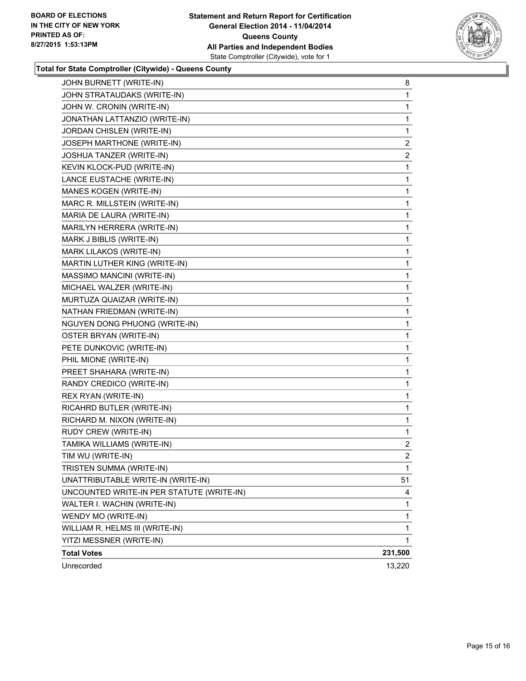

#### **Total for State Comptroller (Citywide) - Queens County**

| JOHN BURNETT (WRITE-IN)                   | 8              |
|-------------------------------------------|----------------|
| JOHN STRATAUDAKS (WRITE-IN)               | 1              |
| JOHN W. CRONIN (WRITE-IN)                 | 1              |
| JONATHAN LATTANZIO (WRITE-IN)             | 1              |
| JORDAN CHISLEN (WRITE-IN)                 | 1              |
| JOSEPH MARTHONE (WRITE-IN)                | $\mathbf{2}$   |
| JOSHUA TANZER (WRITE-IN)                  | $\overline{2}$ |
| KEVIN KLOCK-PUD (WRITE-IN)                | 1              |
| LANCE EUSTACHE (WRITE-IN)                 | 1              |
| MANES KOGEN (WRITE-IN)                    | 1              |
| MARC R. MILLSTEIN (WRITE-IN)              | 1              |
| MARIA DE LAURA (WRITE-IN)                 | 1              |
| MARILYN HERRERA (WRITE-IN)                | 1              |
| MARK J BIBLIS (WRITE-IN)                  | 1              |
| MARK LILAKOS (WRITE-IN)                   | 1              |
| MARTIN LUTHER KING (WRITE-IN)             | 1              |
| MASSIMO MANCINI (WRITE-IN)                | 1              |
| MICHAEL WALZER (WRITE-IN)                 | 1              |
| MURTUZA QUAIZAR (WRITE-IN)                | 1              |
| NATHAN FRIEDMAN (WRITE-IN)                | 1              |
| NGUYEN DONG PHUONG (WRITE-IN)             | 1              |
| OSTER BRYAN (WRITE-IN)                    | 1              |
| PETE DUNKOVIC (WRITE-IN)                  | 1              |
| PHIL MIONE (WRITE-IN)                     | 1              |
| PREET SHAHARA (WRITE-IN)                  | 1              |
| RANDY CREDICO (WRITE-IN)                  | 1              |
| REX RYAN (WRITE-IN)                       | 1              |
| RICAHRD BUTLER (WRITE-IN)                 | 1              |
| RICHARD M. NIXON (WRITE-IN)               | 1              |
| RUDY CREW (WRITE-IN)                      | 1              |
| TAMIKA WILLIAMS (WRITE-IN)                | 2              |
| TIM WU (WRITE-IN)                         | $\overline{2}$ |
| TRISTEN SUMMA (WRITE-IN)                  | 1              |
| UNATTRIBUTABLE WRITE-IN (WRITE-IN)        | 51             |
| UNCOUNTED WRITE-IN PER STATUTE (WRITE-IN) | 4              |
| WALTER I. WACHIN (WRITE-IN)               | 1              |
| WENDY MO (WRITE-IN)                       | 1              |
| WILLIAM R. HELMS III (WRITE-IN)           | 1              |
| YITZI MESSNER (WRITE-IN)                  | 1              |
| <b>Total Votes</b>                        | 231,500        |
| Unrecorded                                | 13,220         |